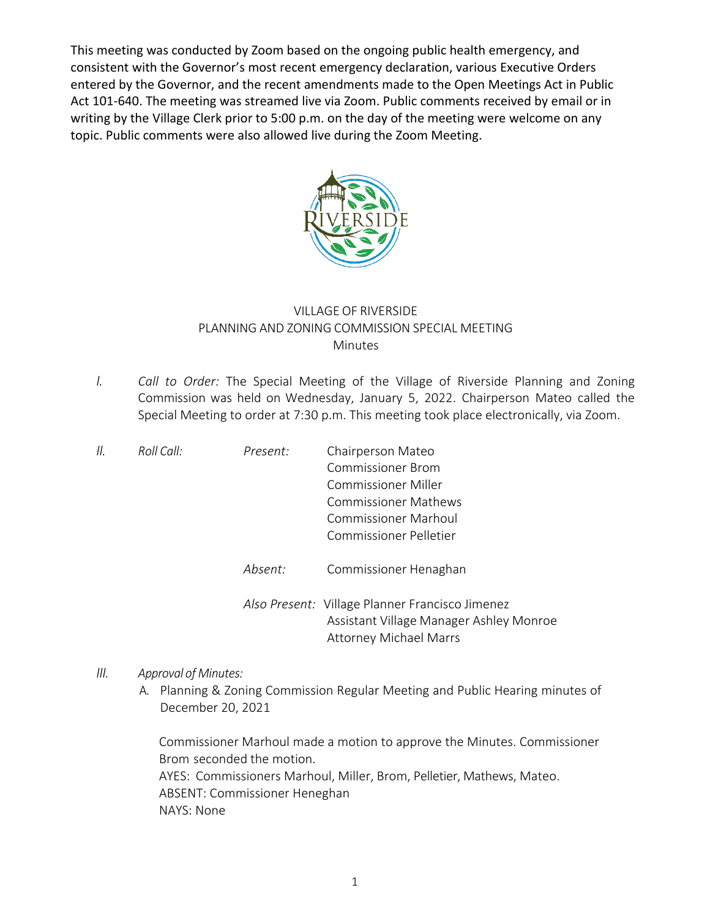This meeting was conducted by Zoom based on the ongoing public health emergency, and consistent with the Governor's most recent emergency declaration, various Executive Orders entered by the Governor, and the recent amendments made to the Open Meetings Act in Public Act 101-640. The meeting was streamed live via Zoom. Public comments received by email or in writing by the Village Clerk prior to 5:00 p.m. on the day of the meeting were welcome on any topic. Public comments were also allowed live during the Zoom Meeting.



## VILLAGE OF RIVERSIDE PLANNING AND ZONING COMMISSION SPECIAL MEETING Minutes

*I. Call to Order:* The Special Meeting of the Village of Riverside Planning and Zoning Commission was held on Wednesday, January 5, 2022. Chairperson Mateo called the Special Meeting to order at 7:30 p.m. This meeting took place electronically, via Zoom.

| 11. | Roll Call: | Present: | Chairperson Mateo                                                                                                           |
|-----|------------|----------|-----------------------------------------------------------------------------------------------------------------------------|
|     |            |          | <b>Commissioner Brom</b>                                                                                                    |
|     |            |          | Commissioner Miller                                                                                                         |
|     |            |          | <b>Commissioner Mathews</b>                                                                                                 |
|     |            |          | <b>Commissioner Marhoul</b>                                                                                                 |
|     |            |          | Commissioner Pelletier                                                                                                      |
|     |            | Absent:  | Commissioner Henaghan                                                                                                       |
|     |            |          | Also Present: Village Planner Francisco Jimenez<br>Assistant Village Manager Ashley Monroe<br><b>Attorney Michael Marrs</b> |
|     |            |          |                                                                                                                             |

## *III. Approval of Minutes:*

A. Planning & Zoning Commission Regular Meeting and Public Hearing minutes of December 20, 2021

Commissioner Marhoul made a motion to approve the Minutes. Commissioner Brom seconded the motion. AYES: Commissioners Marhoul, Miller, Brom, Pelletier, Mathews, Mateo. ABSENT: Commissioner Heneghan NAYS: None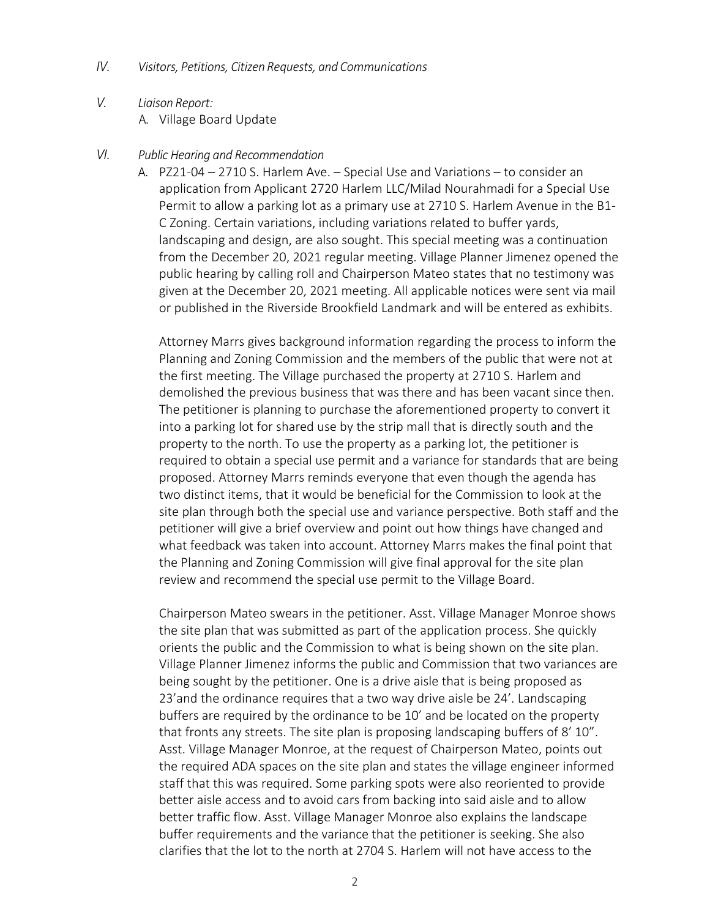- *IV. Visitors, Petitions, Citizen Requests, and Communications*
- *V. Liaison Report:* A. Village Board Update

## *VI. Public Hearing and Recommendation*

A. PZ21-04 – 2710 S. Harlem Ave. – Special Use and Variations – to consider an application from Applicant 2720 Harlem LLC/Milad Nourahmadi for a Special Use Permit to allow a parking lot as a primary use at 2710 S. Harlem Avenue in the B1- C Zoning. Certain variations, including variations related to buffer yards, landscaping and design, are also sought. This special meeting was a continuation from the December 20, 2021 regular meeting. Village Planner Jimenez opened the public hearing by calling roll and Chairperson Mateo states that no testimony was given at the December 20, 2021 meeting. All applicable notices were sent via mail or published in the Riverside Brookfield Landmark and will be entered as exhibits.

Attorney Marrs gives background information regarding the process to inform the Planning and Zoning Commission and the members of the public that were not at the first meeting. The Village purchased the property at 2710 S. Harlem and demolished the previous business that was there and has been vacant since then. The petitioner is planning to purchase the aforementioned property to convert it into a parking lot for shared use by the strip mall that is directly south and the property to the north. To use the property as a parking lot, the petitioner is required to obtain a special use permit and a variance for standards that are being proposed. Attorney Marrs reminds everyone that even though the agenda has two distinct items, that it would be beneficial for the Commission to look at the site plan through both the special use and variance perspective. Both staff and the petitioner will give a brief overview and point out how things have changed and what feedback was taken into account. Attorney Marrs makes the final point that the Planning and Zoning Commission will give final approval for the site plan review and recommend the special use permit to the Village Board.

Chairperson Mateo swears in the petitioner. Asst. Village Manager Monroe shows the site plan that was submitted as part of the application process. She quickly orients the public and the Commission to what is being shown on the site plan. Village Planner Jimenez informs the public and Commission that two variances are being sought by the petitioner. One is a drive aisle that is being proposed as 23'and the ordinance requires that a two way drive aisle be 24'. Landscaping buffers are required by the ordinance to be 10' and be located on the property that fronts any streets. The site plan is proposing landscaping buffers of 8' 10". Asst. Village Manager Monroe, at the request of Chairperson Mateo, points out the required ADA spaces on the site plan and states the village engineer informed staff that this was required. Some parking spots were also reoriented to provide better aisle access and to avoid cars from backing into said aisle and to allow better traffic flow. Asst. Village Manager Monroe also explains the landscape buffer requirements and the variance that the petitioner is seeking. She also clarifies that the lot to the north at 2704 S. Harlem will not have access to the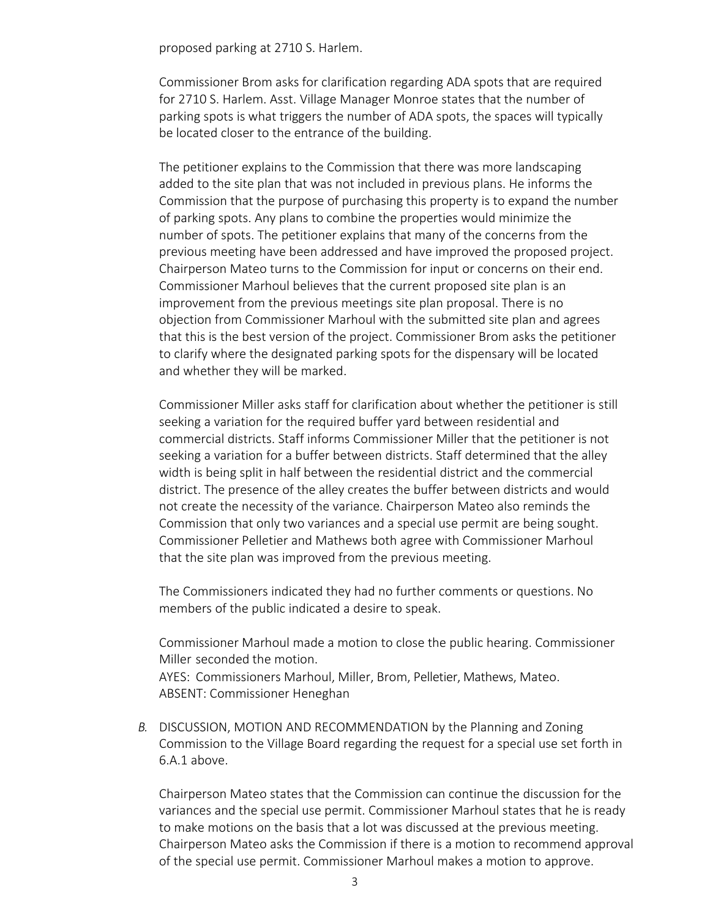proposed parking at 2710 S. Harlem.

Commissioner Brom asks for clarification regarding ADA spots that are required for 2710 S. Harlem. Asst. Village Manager Monroe states that the number of parking spots is what triggers the number of ADA spots, the spaces will typically be located closer to the entrance of the building.

The petitioner explains to the Commission that there was more landscaping added to the site plan that was not included in previous plans. He informs the Commission that the purpose of purchasing this property is to expand the number of parking spots. Any plans to combine the properties would minimize the number of spots. The petitioner explains that many of the concerns from the previous meeting have been addressed and have improved the proposed project. Chairperson Mateo turns to the Commission for input or concerns on their end. Commissioner Marhoul believes that the current proposed site plan is an improvement from the previous meetings site plan proposal. There is no objection from Commissioner Marhoul with the submitted site plan and agrees that this is the best version of the project. Commissioner Brom asks the petitioner to clarify where the designated parking spots for the dispensary will be located and whether they will be marked.

Commissioner Miller asks staff for clarification about whether the petitioner is still seeking a variation for the required buffer yard between residential and commercial districts. Staff informs Commissioner Miller that the petitioner is not seeking a variation for a buffer between districts. Staff determined that the alley width is being split in half between the residential district and the commercial district. The presence of the alley creates the buffer between districts and would not create the necessity of the variance. Chairperson Mateo also reminds the Commission that only two variances and a special use permit are being sought. Commissioner Pelletier and Mathews both agree with Commissioner Marhoul that the site plan was improved from the previous meeting.

The Commissioners indicated they had no further comments or questions. No members of the public indicated a desire to speak.

Commissioner Marhoul made a motion to close the public hearing. Commissioner Miller seconded the motion. AYES: Commissioners Marhoul, Miller, Brom, Pelletier, Mathews, Mateo.

ABSENT: Commissioner Heneghan

*B.* DISCUSSION, MOTION AND RECOMMENDATION by the Planning and Zoning Commission to the Village Board regarding the request for a special use set forth in 6.A.1 above.

Chairperson Mateo states that the Commission can continue the discussion for the variances and the special use permit. Commissioner Marhoul states that he is ready to make motions on the basis that a lot was discussed at the previous meeting. Chairperson Mateo asks the Commission if there is a motion to recommend approval of the special use permit. Commissioner Marhoul makes a motion to approve.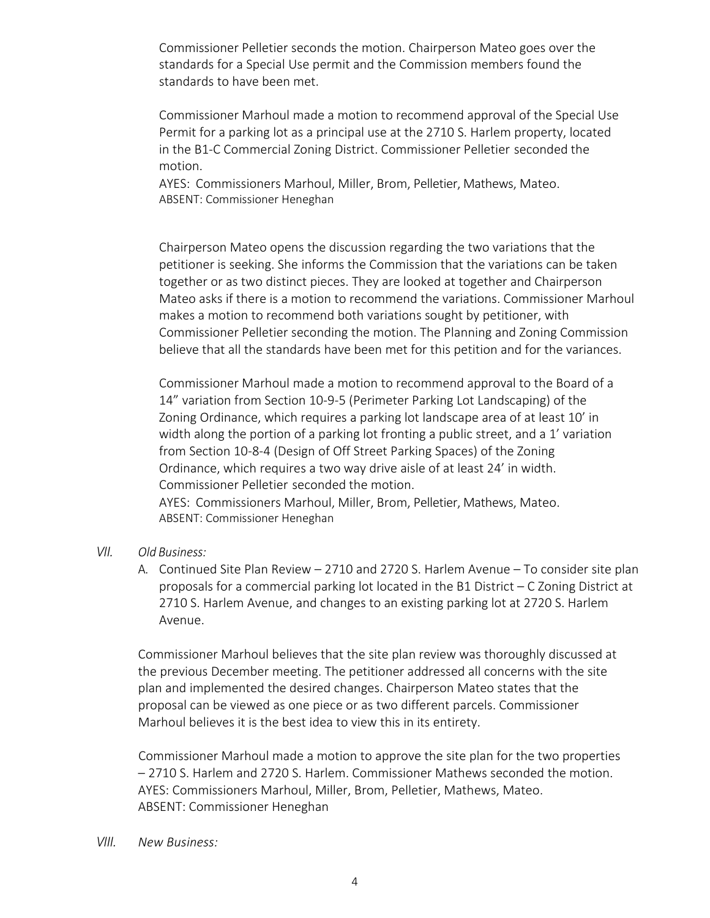Commissioner Pelletier seconds the motion. Chairperson Mateo goes over the standards for a Special Use permit and the Commission members found the standards to have been met.

Commissioner Marhoul made a motion to recommend approval of the Special Use Permit for a parking lot as a principal use at the 2710 S. Harlem property, located in the B1-C Commercial Zoning District. Commissioner Pelletier seconded the motion.

AYES: Commissioners Marhoul, Miller, Brom, Pelletier, Mathews, Mateo. ABSENT: Commissioner Heneghan

Chairperson Mateo opens the discussion regarding the two variations that the petitioner is seeking. She informs the Commission that the variations can be taken together or as two distinct pieces. They are looked at together and Chairperson Mateo asks if there is a motion to recommend the variations. Commissioner Marhoul makes a motion to recommend both variations sought by petitioner, with Commissioner Pelletier seconding the motion. The Planning and Zoning Commission believe that all the standards have been met for this petition and for the variances.

Commissioner Marhoul made a motion to recommend approval to the Board of a 14" variation from Section 10-9-5 (Perimeter Parking Lot Landscaping) of the Zoning Ordinance, which requires a parking lot landscape area of at least 10' in width along the portion of a parking lot fronting a public street, and a 1' variation from Section 10-8-4 (Design of Off Street Parking Spaces) of the Zoning Ordinance, which requires a two way drive aisle of at least 24' in width. Commissioner Pelletier seconded the motion. AYES: Commissioners Marhoul, Miller, Brom, Pelletier, Mathews, Mateo. ABSENT: Commissioner Heneghan

## *VII. Old Business:*

A. Continued Site Plan Review – 2710 and 2720 S. Harlem Avenue – To consider site plan proposals for a commercial parking lot located in the B1 District – C Zoning District at 2710 S. Harlem Avenue, and changes to an existing parking lot at 2720 S. Harlem Avenue.

Commissioner Marhoul believes that the site plan review was thoroughly discussed at the previous December meeting. The petitioner addressed all concerns with the site plan and implemented the desired changes. Chairperson Mateo states that the proposal can be viewed as one piece or as two different parcels. Commissioner Marhoul believes it is the best idea to view this in its entirety.

Commissioner Marhoul made a motion to approve the site plan for the two properties – 2710 S. Harlem and 2720 S. Harlem. Commissioner Mathews seconded the motion. AYES: Commissioners Marhoul, Miller, Brom, Pelletier, Mathews, Mateo. ABSENT: Commissioner Heneghan

*VIII. New Business:*